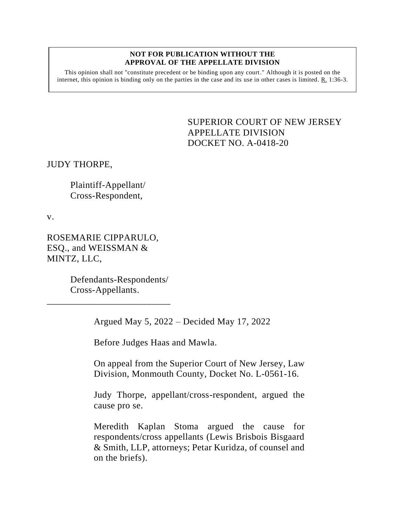#### **NOT FOR PUBLICATION WITHOUT THE APPROVAL OF THE APPELLATE DIVISION**

This opinion shall not "constitute precedent or be binding upon any court." Although it is posted on the internet, this opinion is binding only on the parties in the case and its use in other cases is limited.  $R_1$  1:36-3.

> <span id="page-0-0"></span>SUPERIOR COURT OF NEW JERSEY APPELLATE DIVISION DOCKET NO. A-0418-20

JUDY THORPE,

Plaintiff-Appellant/ Cross-Respondent,

v.

ROSEMARIE CIPPARULO, ESQ., and WEISSMAN & MINTZ, LLC,

> Defendants-Respondents/ Cross-Appellants.

\_\_\_\_\_\_\_\_\_\_\_\_\_\_\_\_\_\_\_\_\_\_\_\_\_\_

Argued May 5, 2022 – Decided May 17, 2022

Before Judges Haas and Mawla.

On appeal from the Superior Court of New Jersey, Law Division, Monmouth County, Docket No. L-0561-16.

Judy Thorpe, appellant/cross-respondent, argued the cause pro se.

Meredith Kaplan Stoma argued the cause for respondents/cross appellants (Lewis Brisbois Bisgaard & Smith, LLP, attorneys; Petar Kuridza, of counsel and on the briefs).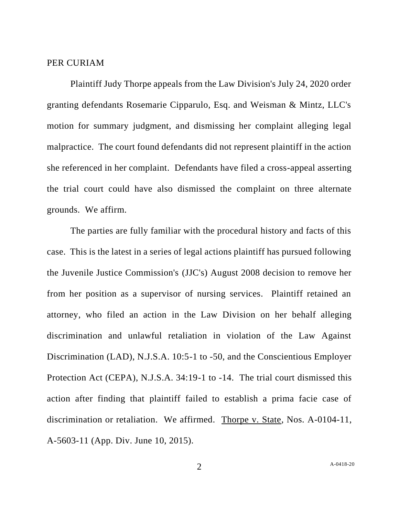#### PER CURIAM

Plaintiff Judy Thorpe appeals from the Law Division's July 24, 2020 order granting defendants Rosemarie Cipparulo, Esq. and Weisman & Mintz, LLC's motion for summary judgment, and dismissing her complaint alleging legal malpractice. The court found defendants did not represent plaintiff in the action she referenced in her complaint. Defendants have filed a cross-appeal asserting the trial court could have also dismissed the complaint on three alternate grounds. We affirm.

The parties are fully familiar with the procedural history and facts of this case. This is the latest in a series of legal actions plaintiff has pursued following the Juvenile Justice Commission's (JJC's) August 2008 decision to remove her from her position as a supervisor of nursing services. Plaintiff retained an attorney, who filed an action in the Law Division on her behalf alleging discrimination and unlawful retaliation in violation of the Law Against Discrimination (LAD), N.J.S.A. 10:5-1 to -50, and the Conscientious Employer Protection Act (CEPA), N.J.S.A. 34:19-1 to -14. The trial court dismissed this action after finding that plaintiff failed to establish a prima facie case of discrimination or retaliation. We affirmed. Thorpe v. State, Nos. A-0104-11, A-5603-11 (App. Div. June 10, 2015).

2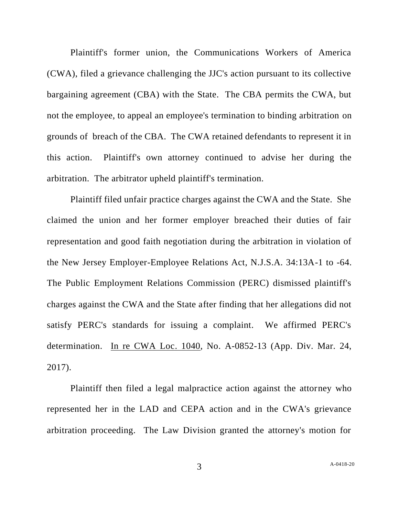Plaintiff's former union, the Communications Workers of America (CWA), filed a grievance challenging the JJC's action pursuant to its collective bargaining agreement (CBA) with the State. The CBA permits the CWA, but not the employee, to appeal an employee's termination to binding arbitration on grounds of breach of the CBA. The CWA retained defendants to represent it in this action. Plaintiff's own attorney continued to advise her during the arbitration. The arbitrator upheld plaintiff's termination.

Plaintiff filed unfair practice charges against the CWA and the State. She claimed the union and her former employer breached their duties of fair representation and good faith negotiation during the arbitration in violation of the New Jersey Employer-Employee Relations Act, N.J.S.A. 34:13A-1 to -64. The Public Employment Relations Commission (PERC) dismissed plaintiff's charges against the CWA and the State after finding that her allegations did not satisfy PERC's standards for issuing a complaint. We affirmed PERC's determination. In re CWA Loc. 1040, No. A-0852-13 (App. Div. Mar. 24, 2017).

Plaintiff then filed a legal malpractice action against the attorney who represented her in the LAD and CEPA action and in the CWA's grievance arbitration proceeding. The Law Division granted the attorney's motion for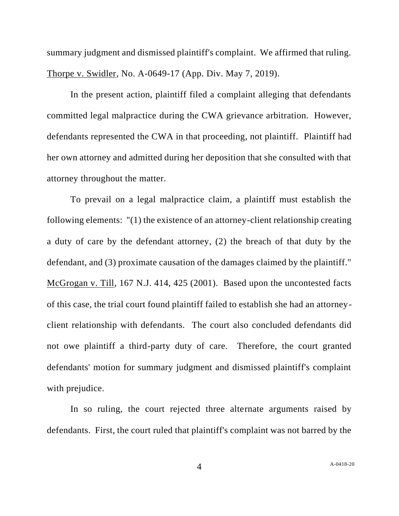summary judgment and dismissed plaintiff's complaint. We affirmed that ruling. Thorpe v. Swidler, No. A-0649-17 (App. Div. May 7, 2019).

In the present action, plaintiff filed a complaint alleging that defendants committed legal malpractice during the CWA grievance arbitration. However, defendants represented the CWA in that proceeding, not plaintiff. Plaintiff had her own attorney and admitted during her deposition that she consulted with that attorney throughout the matter.

To prevail on a legal malpractice claim, a plaintiff must establish the following elements: "(1) the existence of an attorney-client relationship creating a duty of care by the defendant attorney, (2) the breach of that duty by the defendant, and (3) proximate causation of the damages claimed by the plaintiff." McGrogan v. Till, 167 N.J. 414, 425 (2001). Based upon the uncontested facts of this case, the trial court found plaintiff failed to establish she had an attorneyclient relationship with defendants. The court also concluded defendants did not owe plaintiff a third-party duty of care. Therefore, the court granted defendants' motion for summary judgment and dismissed plaintiff's complaint with prejudice.

In so ruling, the court rejected three alternate arguments raised by defendants. First, the court ruled that plaintiff's complaint was not barred by the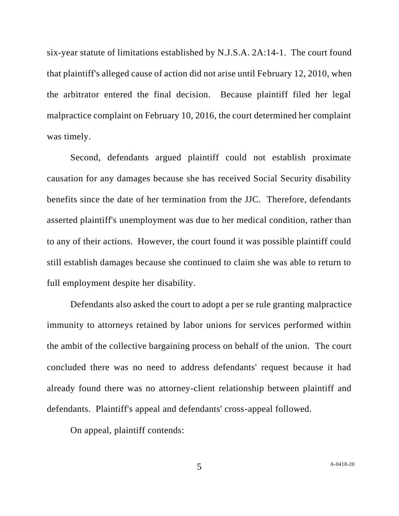six-year statute of limitations established by N.J.S.A. 2A:14-1. The court found that plaintiff's alleged cause of action did not arise until February 12, 2010, when the arbitrator entered the final decision. Because plaintiff filed her legal malpractice complaint on February 10, 2016, the court determined her complaint was timely.

Second, defendants argued plaintiff could not establish proximate causation for any damages because she has received Social Security disability benefits since the date of her termination from the JJC. Therefore, defendants asserted plaintiff's unemployment was due to her medical condition, rather than to any of their actions. However, the court found it was possible plaintiff could still establish damages because she continued to claim she was able to return to full employment despite her disability.

Defendants also asked the court to adopt a per se rule granting malpractice immunity to attorneys retained by labor unions for services performed within the ambit of the collective bargaining process on behalf of the union. The court concluded there was no need to address defendants' request because it had already found there was no attorney-client relationship between plaintiff and defendants. Plaintiff's appeal and defendants' cross-appeal followed.

On appeal, plaintiff contends: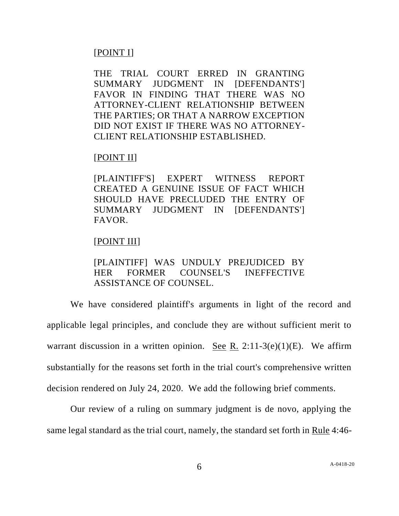## [POINT I]

THE TRIAL COURT ERRED IN GRANTING SUMMARY JUDGMENT IN [DEFENDANTS'] FAVOR IN FINDING THAT THERE WAS NO ATTORNEY-CLIENT RELATIONSHIP BETWEEN THE PARTIES; OR THAT A NARROW EXCEPTION DID NOT EXIST IF THERE WAS NO ATTORNEY-CLIENT RELATIONSHIP ESTABLISHED.

### [POINT II]

[PLAINTIFF'S] EXPERT WITNESS REPORT CREATED A GENUINE ISSUE OF FACT WHICH SHOULD HAVE PRECLUDED THE ENTRY OF SUMMARY JUDGMENT IN [DEFENDANTS'] FAVOR.

### [POINT III]

# [PLAINTIFF] WAS UNDULY PREJUDICED BY HER FORMER COUNSEL'S INEFFECTIVE ASSISTANCE OF COUNSEL.

We have considered plaintiff's arguments in light of the record and applicable legal principles, and conclude they are without sufficient merit to warrant discussion in a written opinion. See R. 2:11-3(e)(1)(E). We affirm substantially for the reasons set forth in the trial court's comprehensive written decision rendered on July 24, 2020. We add the following brief comments.

Our review of a ruling on summary judgment is de novo, applying the same legal standard as the trial court, namely, the standard set forth in Rule 4:46-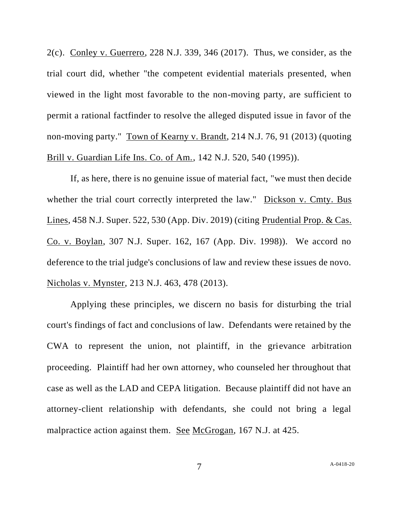2(c). Conley v. Guerrero, 228 N.J. 339, 346 (2017). Thus, we consider, as the trial court did, whether "the competent evidential materials presented, when viewed in the light most favorable to the non-moving party, are sufficient to permit a rational factfinder to resolve the alleged disputed issue in favor of the non-moving party." Town of Kearny v. Brandt, 214 N.J. 76, 91 (2013) (quoting Brill v. Guardian Life Ins. Co. of Am., 142 N.J. 520, 540 (1995)).

If, as here, there is no genuine issue of material fact, "we must then decide whether the trial court correctly interpreted the law." Dickson v. Cmty. Bus Lines, 458 N.J. Super. 522, 530 (App. Div. 2019) (citing Prudential Prop. & Cas. Co. v. Boylan, 307 N.J. Super. 162, 167 (App. Div. 1998)). We accord no deference to the trial judge's conclusions of law and review these issues de novo. Nicholas v. Mynster, 213 N.J. 463, 478 (2013).

Applying these principles, we discern no basis for disturbing the trial court's findings of fact and conclusions of law. Defendants were retained by the CWA to represent the union, not plaintiff, in the grievance arbitration proceeding. Plaintiff had her own attorney, who counseled her throughout that case as well as the LAD and CEPA litigation. Because plaintiff did not have an attorney-client relationship with defendants, she could not bring a legal malpractice action against them. See McGrogan, 167 N.J. at 425.

7